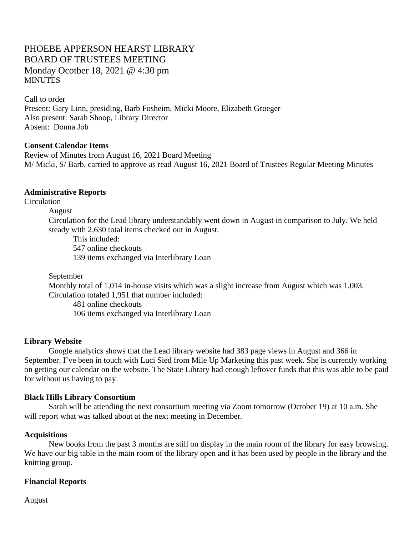# PHOEBE APPERSON HEARST LIBRARY BOARD OF TRUSTEES MEETING Monday Ocotber 18, 2021 @ 4:30 pm **MINUTES**

Call to order Present: Gary Linn, presiding, Barb Fosheim, Micki Moore, Elizabeth Groeger Also present: Sarah Shoop, Library Director Absent: Donna Job

#### **Consent Calendar Items**

Review of Minutes from August 16, 2021 Board Meeting M/ Micki, S/ Barb, carried to approve as read August 16, 2021 Board of Trustees Regular Meeting Minutes

#### **Administrative Reports**

**Circulation** 

August

Circulation for the Lead library understandably went down in August in comparison to July. We held steady with 2,630 total items checked out in August.

This included: 547 online checkouts 139 items exchanged via Interlibrary Loan

September

Monthly total of 1,014 in-house visits which was a slight increase from August which was 1,003. Circulation totaled 1,951 that number included:

481 online checkouts 106 items exchanged via Interlibrary Loan

#### **Library Website**

Google analytics shows that the Lead library website had 383 page views in August and 366 in September. I've been in touch with Luci Sied from Mile Up Marketing this past week. She is currently working on getting our calendar on the website. The State Library had enough leftover funds that this was able to be paid for without us having to pay.

#### **Black Hills Library Consortium**

Sarah will be attending the next consortium meeting via Zoom tomorrow (October 19) at 10 a.m. She will report what was talked about at the next meeting in December.

#### **Acquisitions**

New books from the past 3 months are still on display in the main room of the library for easy browsing. We have our big table in the main room of the library open and it has been used by people in the library and the knitting group.

#### **Financial Reports**

August